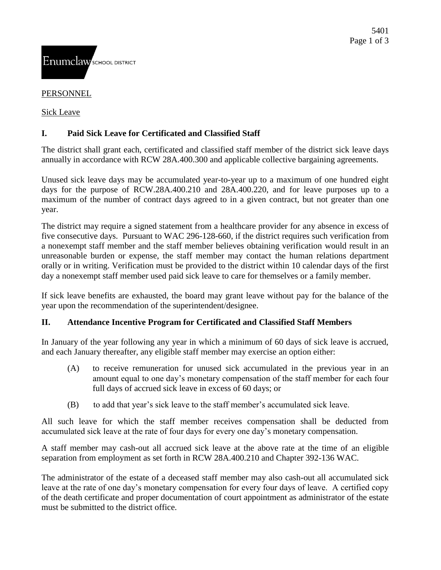### PERSONNEL

Sick Leave

# **I. Paid Sick Leave for Certificated and Classified Staff**

The district shall grant each, certificated and classified staff member of the district sick leave days annually in accordance with RCW 28A.400.300 and applicable collective bargaining agreements.

Unused sick leave days may be accumulated year-to-year up to a maximum of one hundred eight days for the purpose of RCW.28A.400.210 and 28A.400.220, and for leave purposes up to a maximum of the number of contract days agreed to in a given contract, but not greater than one year.

The district may require a signed statement from a healthcare provider for any absence in excess of five consecutive days. Pursuant to WAC 296-128-660, if the district requires such verification from a nonexempt staff member and the staff member believes obtaining verification would result in an unreasonable burden or expense, the staff member may contact the human relations department orally or in writing. Verification must be provided to the district within 10 calendar days of the first day a nonexempt staff member used paid sick leave to care for themselves or a family member.

If sick leave benefits are exhausted, the board may grant leave without pay for the balance of the year upon the recommendation of the superintendent/designee.

## **II. Attendance Incentive Program for Certificated and Classified Staff Members**

In January of the year following any year in which a minimum of 60 days of sick leave is accrued, and each January thereafter, any eligible staff member may exercise an option either:

- (A) to receive remuneration for unused sick accumulated in the previous year in an amount equal to one day's monetary compensation of the staff member for each four full days of accrued sick leave in excess of 60 days; or
- (B) to add that year's sick leave to the staff member's accumulated sick leave.

All such leave for which the staff member receives compensation shall be deducted from accumulated sick leave at the rate of four days for every one day's monetary compensation.

A staff member may cash-out all accrued sick leave at the above rate at the time of an eligible separation from employment as set forth in RCW 28A.400.210 and Chapter 392-136 WAC.

The administrator of the estate of a deceased staff member may also cash-out all accumulated sick leave at the rate of one day's monetary compensation for every four days of leave. A certified copy of the death certificate and proper documentation of court appointment as administrator of the estate must be submitted to the district office.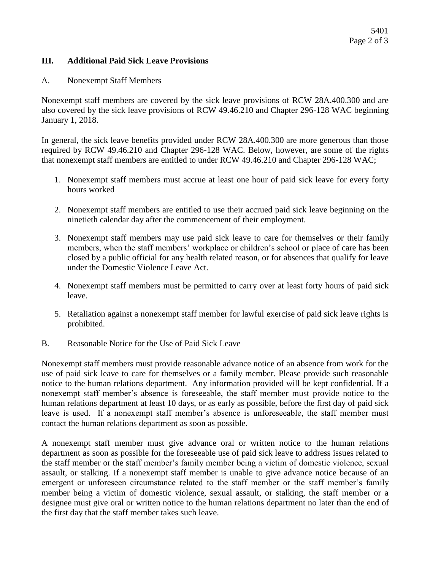#### **III. Additional Paid Sick Leave Provisions**

#### A. Nonexempt Staff Members

Nonexempt staff members are covered by the sick leave provisions of RCW 28A.400.300 and are also covered by the sick leave provisions of RCW 49.46.210 and Chapter 296-128 WAC beginning January 1, 2018.

In general, the sick leave benefits provided under RCW 28A.400.300 are more generous than those required by RCW 49.46.210 and Chapter 296-128 WAC. Below, however, are some of the rights that nonexempt staff members are entitled to under RCW 49.46.210 and Chapter 296-128 WAC;

- 1. Nonexempt staff members must accrue at least one hour of paid sick leave for every forty hours worked
- 2. Nonexempt staff members are entitled to use their accrued paid sick leave beginning on the ninetieth calendar day after the commencement of their employment.
- 3. Nonexempt staff members may use paid sick leave to care for themselves or their family members, when the staff members' workplace or children's school or place of care has been closed by a public official for any health related reason, or for absences that qualify for leave under the Domestic Violence Leave Act.
- 4. Nonexempt staff members must be permitted to carry over at least forty hours of paid sick leave.
- 5. Retaliation against a nonexempt staff member for lawful exercise of paid sick leave rights is prohibited.
- B. Reasonable Notice for the Use of Paid Sick Leave

Nonexempt staff members must provide reasonable advance notice of an absence from work for the use of paid sick leave to care for themselves or a family member. Please provide such reasonable notice to the human relations department. Any information provided will be kept confidential. If a nonexempt staff member's absence is foreseeable, the staff member must provide notice to the human relations department at least 10 days, or as early as possible, before the first day of paid sick leave is used. If a nonexempt staff member's absence is unforeseeable, the staff member must contact the human relations department as soon as possible.

A nonexempt staff member must give advance oral or written notice to the human relations department as soon as possible for the foreseeable use of paid sick leave to address issues related to the staff member or the staff member's family member being a victim of domestic violence, sexual assault, or stalking. If a nonexempt staff member is unable to give advance notice because of an emergent or unforeseen circumstance related to the staff member or the staff member's family member being a victim of domestic violence, sexual assault, or stalking, the staff member or a designee must give oral or written notice to the human relations department no later than the end of the first day that the staff member takes such leave.